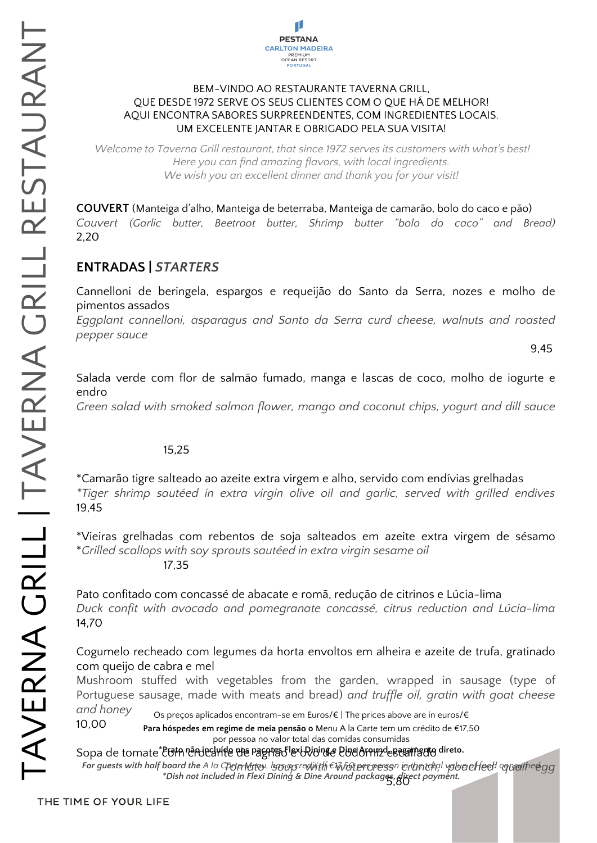

#### BEM-VINDO AO RESTAURANTE TAVERNA GRILL, QUE DESDE 1972 SERVE OS SEUS CLIENTES COM O QUE HÁ DE MELHOR! AQUI ENCONTRA SABORES SURPREENDENTES, COM INGREDIENTES LOCAIS. UM EXCELENTE JANTAR E OBRIGADO PELA SUA VISITA!

*Welcome to Taverna Grill restaurant, that since 1972 serves its customers with what's best! Here you can find amazing flavors, with local ingredients. We wish you an excellent dinner and thank you for your visit!*

**COUVERT** (Manteiga d'alho, Manteiga de beterraba, Manteiga de camarão, bolo do caco e pão) *Couvert (Garlic butter, Beetroot butter, Shrimp butter "bolo do caco" and Bread)* 2,20

### **ENTRADAS |** *STARTERS*

Cannelloni de beringela, espargos e requeijão do Santo da Serra, nozes e molho de pimentos assados

*Eggplant cannelloni, asparagus and Santo da Serra curd cheese, walnuts and roasted pepper sauce*

9,45

Salada verde com flor de salmão fumado, manga e lascas de coco, molho de iogurte e endro

*Green salad with smoked salmon flower, mango and coconut chips, yogurt and dill sauce*

### 15,25

\*Camarão tigre salteado ao azeite extra virgem e alho, servido com endívias grelhadas *\*Tiger shrimp sautéed in extra virgin olive oil and garlic, served with grilled endives* 19,45

\*Vieiras grelhadas com rebentos de soja salteados em azeite extra virgem de sésamo \**Grilled scallops with soy sprouts sautéed in extra virgin sesame oil* 17,35

Pato confitado com concassé de abacate e romã, redução de citrinos e Lúcia-lima *Duck confit with avocado and pomegranate concassé, citrus reduction and Lúcia-lima* 14,70

Cogumelo recheado com legumes da horta envoltos em alheira e azeite de trufa, gratinado com queijo de cabra e mel

Mushroom stuffed with vegetables from the garden, wrapped in sausage (type of Portuguese sausage, made with meats and bread) *and truffle oil, gratin with goat cheese and honey*

10,00 Os preços aplicados encontram-se em Euros/€ | The prices above are in euros/€

**Para hóspedes em regime de meia pensão o** Menu A la Carte tem um crédito de €17,50

por pessoa no valor total das comidas consumidas

Sopa de tomate <sup>\*</sup> EGIA réAdreHifle che Pagris d'Iexi Dining e Pine Around-e e ceame adieto. *Tomato soup with watercress crunch, poached quail egg For guests with half board the A la Carte Menu, has a credit of €17.50 per person in the total value of food consumed*

5,80 *\*Dish not included in Flexi Dining & Dine Around packages, direct payment.*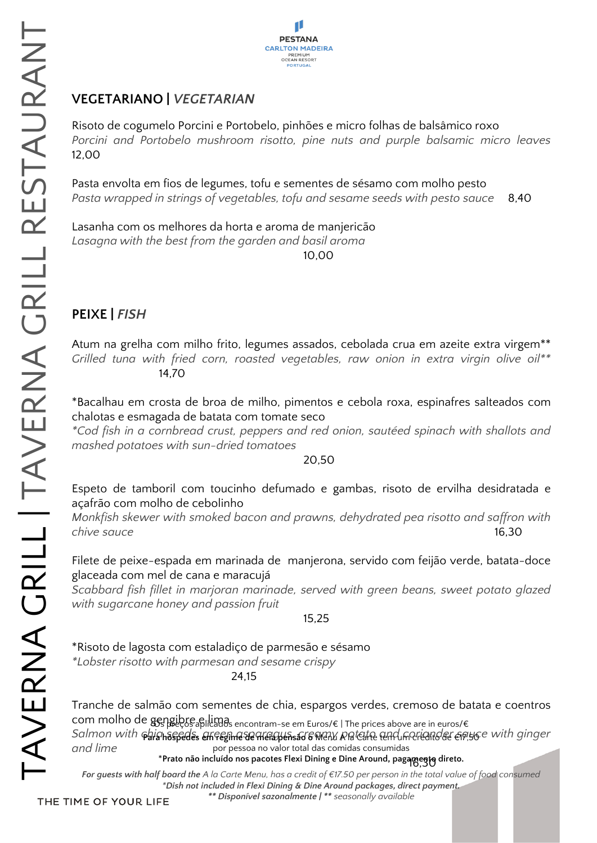

# **VEGETARIANO |** *VEGETARIAN*

Risoto de cogumelo Porcini e Portobelo, pinhões e micro folhas de balsâmico roxo *Porcini and Portobelo mushroom risotto, pine nuts and purple balsamic micro leaves* 12,00

Pasta envolta em fios de legumes, tofu e sementes de sésamo com molho pesto *Pasta wrapped in strings of vegetables, tofu and sesame seeds with pesto sauce* 8,40

Lasanha com os melhores da horta e aroma de manjericão *Lasagna with the best from the garden and basil aroma*

10,00

## **PEIXE |** *FISH*

Atum na grelha com milho frito, legumes assados, cebolada crua em azeite extra virgem\*\* *Grilled tuna with fried corn, roasted vegetables, raw onion in extra virgin olive oil\*\** 14,70

\*Bacalhau em crosta de broa de milho, pimentos e cebola roxa, espinafres salteados com chalotas e esmagada de batata com tomate seco

*\*Cod fish in a cornbread crust, peppers and red onion, sautéed spinach with shallots and mashed potatoes with sun-dried tomatoes*

20,50

Espeto de tamboril com toucinho defumado e gambas, risoto de ervilha desidratada e açafrão com molho de cebolinho

*Monkfish skewer with smoked bacon and prawns, dehydrated pea risotto and saffron with chive sauce* 16,30

Filete de peixe-espada em marinada de manjerona, servido com feijão verde, batata-doce glaceada com mel de cana e maracujá

*Scabbard fish fillet in marjoran marinade, served with green beans, sweet potato glazed with sugarcane honey and passion fruit*

15,25

\*Risoto de lagosta com estaladiço de parmesão e sésamo

*\*Lobster risotto with parmesan and sesame crispy*

24,15

Tranche de salmão com sementes de chia, espargos verdes, cremoso de batata e coentros com molho de gengibre e lima<br>Com molho de gengibre e limas encontram-se em Euros/€ | The prices above are in euros/€ Salmon with **¢hishsspedes einfeginie de nieispensas 6 M**eny Ratetfe fend meriennoler eigyce with ginger *and lime* por pessoa no valor total das comidas consumidas

16,30 \***Prato não incluído nos pacotes Flexi Dining e Dine Around, pagamento direto.**

*For guests with half board the A la Carte Menu, has a credit of €17.50 per person in the total value of food consumed \*Dish not included in Flexi Dining & Dine Around packages, direct payment.*

*\*\* Disponível sazonalmente | \*\* seasonally available*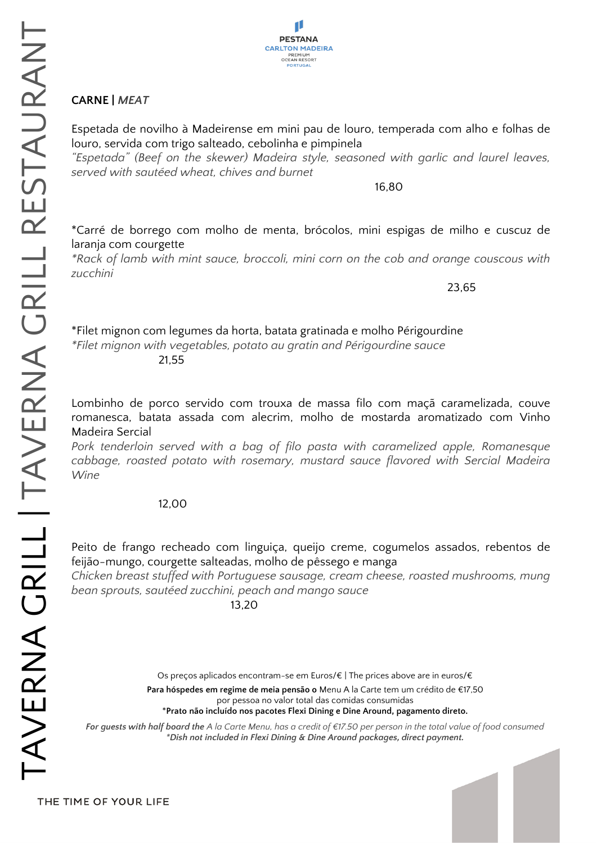

### **CARNE |** *MEAT*

Espetada de novilho à Madeirense em mini pau de louro, temperada com alho e folhas de louro, servida com trigo salteado, cebolinha e pimpinela

*"Espetada" (Beef on the skewer) Madeira style, seasoned with garlic and laurel leaves, served with sautéed wheat, chives and burnet*

16,80

\*Carré de borrego com molho de menta, brócolos, mini espigas de milho e cuscuz de laranja com courgette

*\*Rack of lamb with mint sauce, broccoli, mini corn on the cob and orange couscous with zucchini*

23,65

\*Filet mignon com legumes da horta, batata gratinada e molho Périgourdine *\*Filet mignon with vegetables, potato au gratin and Périgourdine sauce* 21,55

Lombinho de porco servido com trouxa de massa filo com maçã caramelizada, couve romanesca, batata assada com alecrim, molho de mostarda aromatizado com Vinho Madeira Sercial

*Pork tenderloin served with a bag of filo pasta with caramelized apple, Romanesque cabbage, roasted potato with rosemary, mustard sauce flavored with Sercial Madeira Wine*

#### 12,00

Peito de frango recheado com linguiça, queijo creme, cogumelos assados, rebentos de feijão-mungo, courgette salteadas, molho de pêssego e manga

*Chicken breast stuffed with Portuguese sausage, cream cheese, roasted mushrooms, mung bean sprouts, sautéed zucchini, peach and mango sauce*

13,20

Os preços aplicados encontram-se em Euros/€ | The prices above are in euros/€ **Para hóspedes em regime de meia pensão o** Menu A la Carte tem um crédito de €17,50 por pessoa no valor total das comidas consumidas \***Prato não incluído nos pacotes Flexi Dining e Dine Around, pagamento direto.**

*For guests with half board the A la Carte Menu, has a credit of €17.50 per person in the total value of food consumed \*Dish not included in Flexi Dining & Dine Around packages, direct payment.*